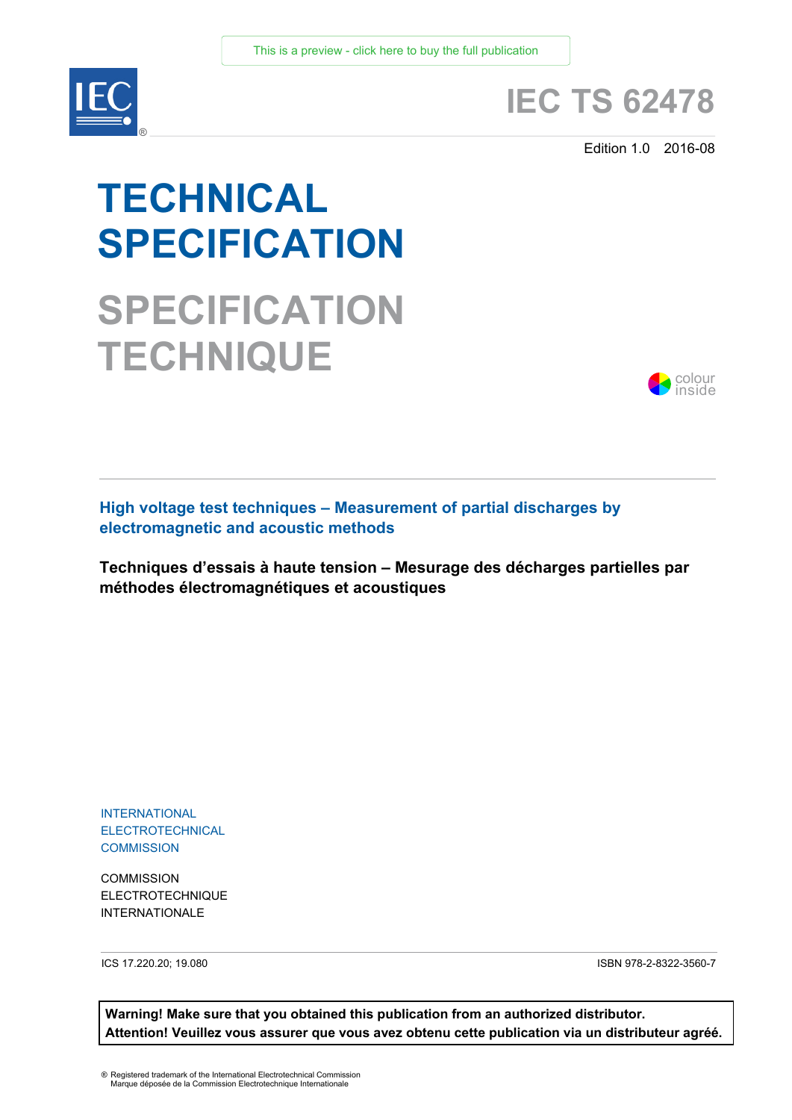

## **IEC TS 62478**

Edition 1.0 2016-08

# **TECHNICAL SPECIFICATION**

**SPECIFICATION TECHNIQUE**



**High voltage test techniques – Measurement of partial discharges by electromagnetic and acoustic methods** 

**Techniques d'essais à haute tension – Mesurage des décharges partielles par méthodes électromagnétiques et acoustiques**

INTERNATIONAL ELECTROTECHNICAL **COMMISSION** 

**COMMISSION** ELECTROTECHNIQUE INTERNATIONALE

ICS 17.220.20; 19.080 ISBN 978-2-8322-3560-7

**Warning! Make sure that you obtained this publication from an authorized distributor. Attention! Veuillez vous assurer que vous avez obtenu cette publication via un distributeur agréé.**

® Registered trademark of the International Electrotechnical Commission Marque déposée de la Commission Electrotechnique Internationale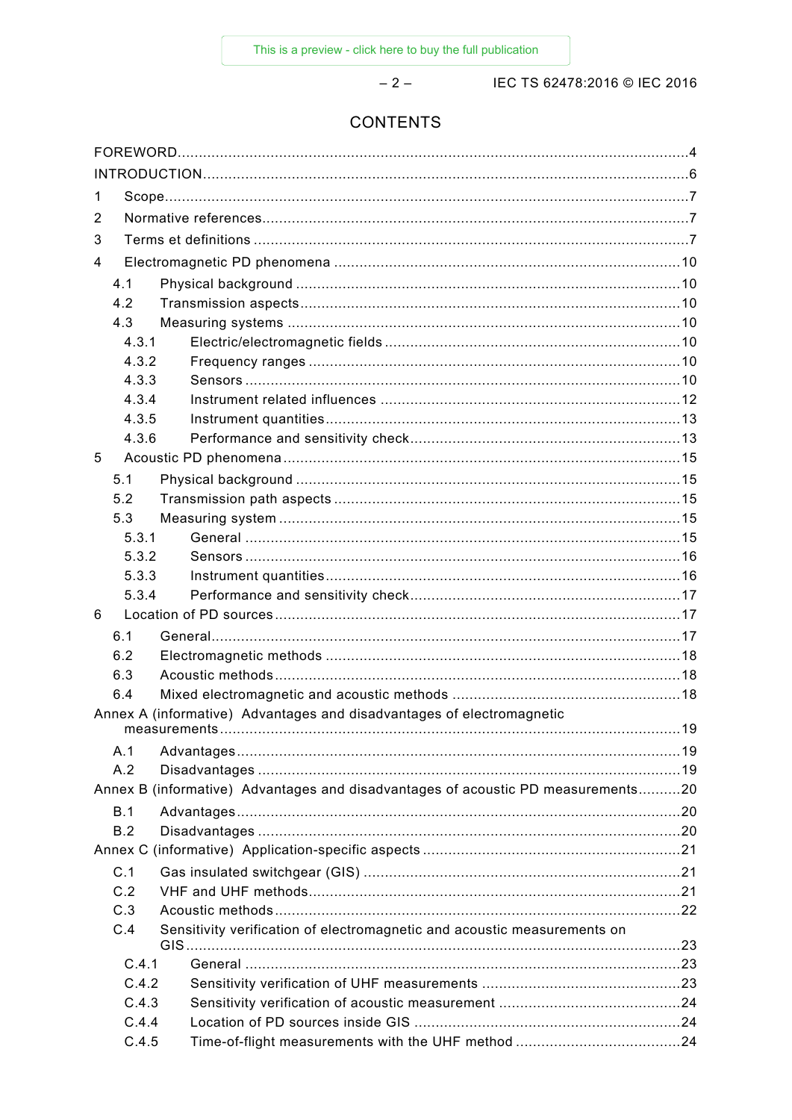$-2-$ 

IEC TS 62478:2016 © IEC 2016

## **CONTENTS**

| 1     |                                                                                  |  |
|-------|----------------------------------------------------------------------------------|--|
| 2     |                                                                                  |  |
| 3     |                                                                                  |  |
| 4     |                                                                                  |  |
| 4.1   |                                                                                  |  |
| 4.2   |                                                                                  |  |
| 4.3   |                                                                                  |  |
| 4.3.1 |                                                                                  |  |
| 4.3.2 |                                                                                  |  |
| 4.3.3 |                                                                                  |  |
| 4.3.4 |                                                                                  |  |
| 4.3.5 |                                                                                  |  |
| 4.3.6 |                                                                                  |  |
| 5     |                                                                                  |  |
| 5.1   |                                                                                  |  |
| 5.2   |                                                                                  |  |
| 5.3   |                                                                                  |  |
| 5.3.1 |                                                                                  |  |
| 5.3.2 |                                                                                  |  |
| 5.3.3 |                                                                                  |  |
| 5.3.4 |                                                                                  |  |
| 6     |                                                                                  |  |
| 6.1   |                                                                                  |  |
| 6.2   |                                                                                  |  |
| 6.3   |                                                                                  |  |
| 6.4   |                                                                                  |  |
|       | Annex A (informative) Advantages and disadvantages of electromagnetic            |  |
|       |                                                                                  |  |
| A.1   |                                                                                  |  |
| A.2   |                                                                                  |  |
|       | Annex B (informative) Advantages and disadvantages of acoustic PD measurements20 |  |
| B.1   |                                                                                  |  |
| B.2   |                                                                                  |  |
|       |                                                                                  |  |
| C.1   |                                                                                  |  |
| C.2   |                                                                                  |  |
| C.3   |                                                                                  |  |
| C.4   | Sensitivity verification of electromagnetic and acoustic measurements on         |  |
|       |                                                                                  |  |
| C.4.1 |                                                                                  |  |
| C.4.2 |                                                                                  |  |
| C.4.3 |                                                                                  |  |
| C.4.4 |                                                                                  |  |
| C.4.5 |                                                                                  |  |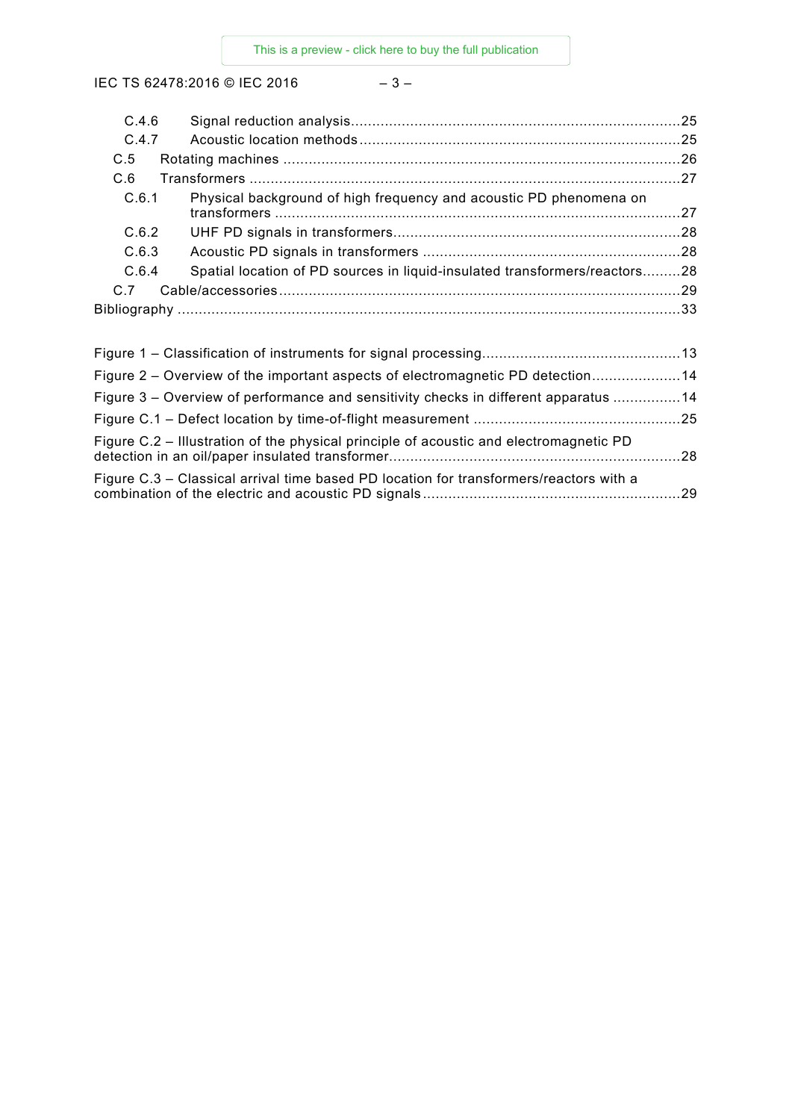IEC TS 62478:2016 © IEC 2016 – 3 –

| C.4.6          |                                                                            |  |
|----------------|----------------------------------------------------------------------------|--|
| C.47           |                                                                            |  |
| C.5            |                                                                            |  |
| C <sub>6</sub> |                                                                            |  |
| C.6.1          | Physical background of high frequency and acoustic PD phenomena on         |  |
| C.6.2          |                                                                            |  |
| C.6.3          |                                                                            |  |
| C.6.4          | Spatial location of PD sources in liquid-insulated transformers/reactors28 |  |
| C <sub>z</sub> |                                                                            |  |
|                |                                                                            |  |
|                |                                                                            |  |

| Figure 2 – Overview of the important aspects of electromagnetic PD detection 14        |  |
|----------------------------------------------------------------------------------------|--|
| Figure 3 – Overview of performance and sensitivity checks in different apparatus 14    |  |
|                                                                                        |  |
| Figure C.2 – Illustration of the physical principle of acoustic and electromagnetic PD |  |
| Figure C.3 – Classical arrival time based PD location for transformers/reactors with a |  |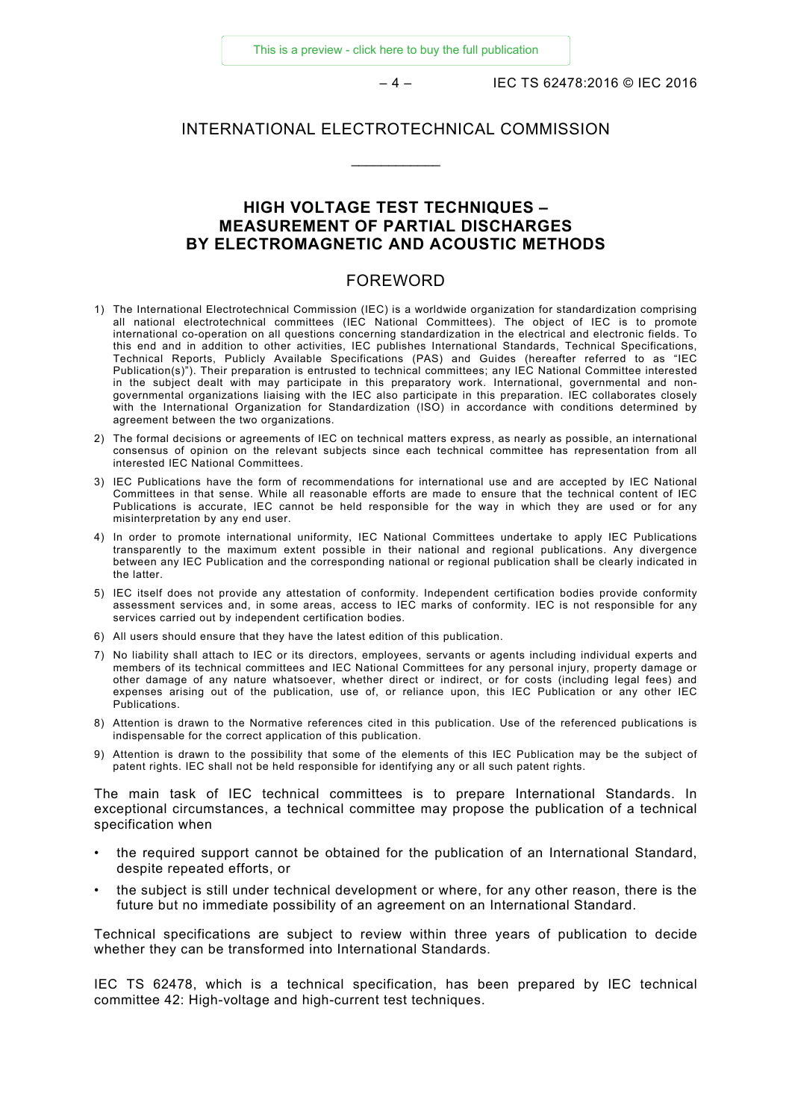– 4 – IEC TS 62478:2016 © IEC 2016

#### INTERNATIONAL ELECTROTECHNICAL COMMISSION

\_\_\_\_\_\_\_\_\_\_\_\_

#### **HIGH VOLTAGE TEST TECHNIQUES – MEASUREMENT OF PARTIAL DISCHARGES BY ELECTROMAGNETIC AND ACOUSTIC METHODS**

#### FOREWORD

- <span id="page-3-0"></span>1) The International Electrotechnical Commission (IEC) is a worldwide organization for standardization comprising all national electrotechnical committees (IEC National Committees). The object of IEC is to promote international co-operation on all questions concerning standardization in the electrical and electronic fields. To this end and in addition to other activities, IEC publishes International Standards, Technical Specifications, Technical Reports, Publicly Available Specifications (PAS) and Guides (hereafter referred to as "IEC Publication(s)"). Their preparation is entrusted to technical committees; any IEC National Committee interested in the subject dealt with may participate in this preparatory work. International, governmental and nongovernmental organizations liaising with the IEC also participate in this preparation. IEC collaborates closely with the International Organization for Standardization (ISO) in accordance with conditions determined by agreement between the two organizations.
- 2) The formal decisions or agreements of IEC on technical matters express, as nearly as possible, an international consensus of opinion on the relevant subjects since each technical committee has representation from all interested IEC National Committees.
- 3) IEC Publications have the form of recommendations for international use and are accepted by IEC National Committees in that sense. While all reasonable efforts are made to ensure that the technical content of IEC Publications is accurate, IEC cannot be held responsible for the way in which they are used or for any misinterpretation by any end user.
- 4) In order to promote international uniformity, IEC National Committees undertake to apply IEC Publications transparently to the maximum extent possible in their national and regional publications. Any divergence between any IEC Publication and the corresponding national or regional publication shall be clearly indicated in the latter.
- 5) IEC itself does not provide any attestation of conformity. Independent certification bodies provide conformity assessment services and, in some areas, access to IEC marks of conformity. IEC is not responsible for any services carried out by independent certification bodies.
- 6) All users should ensure that they have the latest edition of this publication.
- 7) No liability shall attach to IEC or its directors, employees, servants or agents including individual experts and members of its technical committees and IEC National Committees for any personal injury, property damage or other damage of any nature whatsoever, whether direct or indirect, or for costs (including legal fees) and expenses arising out of the publication, use of, or reliance upon, this IEC Publication or any other IEC Publications.
- 8) Attention is drawn to the Normative references cited in this publication. Use of the referenced publications is indispensable for the correct application of this publication.
- 9) Attention is drawn to the possibility that some of the elements of this IEC Publication may be the subject of patent rights. IEC shall not be held responsible for identifying any or all such patent rights.

The main task of IEC technical committees is to prepare International Standards. In exceptional circumstances, a technical committee may propose the publication of a technical specification when

- the required support cannot be obtained for the publication of an International Standard, despite repeated efforts, or
- the subject is still under technical development or where, for any other reason, there is the future but no immediate possibility of an agreement on an International Standard.

Technical specifications are subject to review within three years of publication to decide whether they can be transformed into International Standards.

IEC TS 62478, which is a technical specification, has been prepared by IEC technical committee 42: High-voltage and high-current test techniques.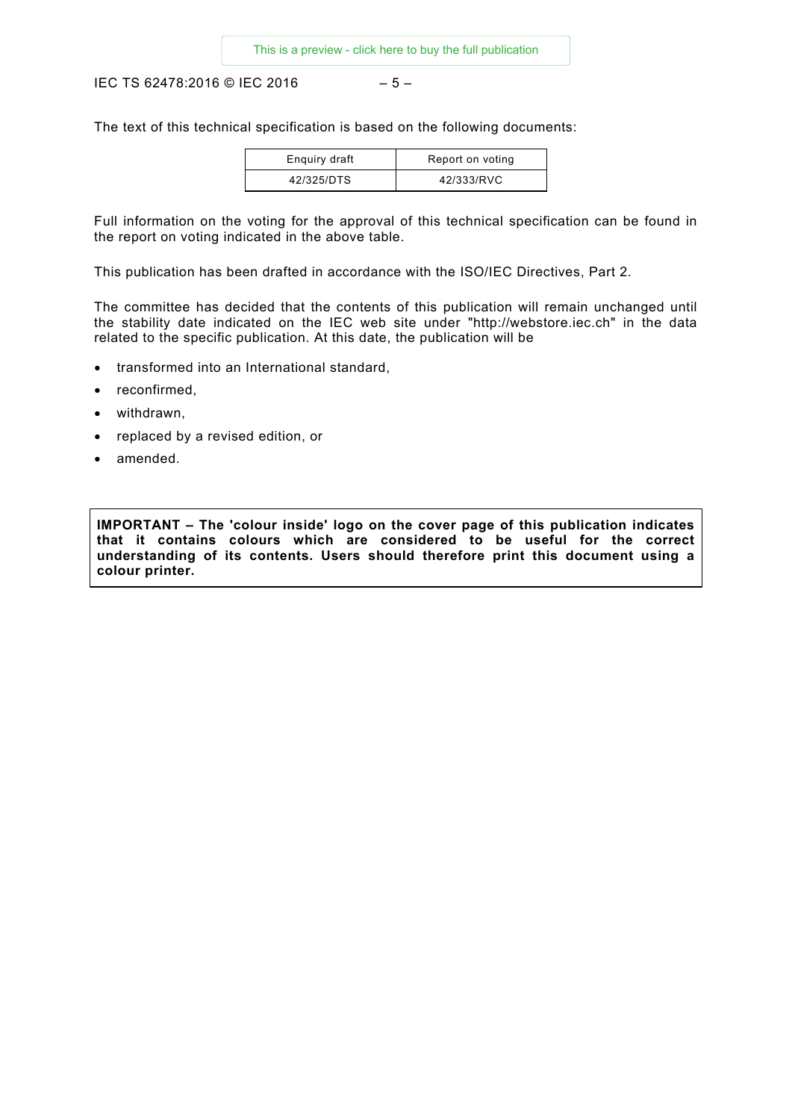IEC TS 62478:2016 © IEC 2016 – 5 –

The text of this technical specification is based on the following documents:

| Enquiry draft | Report on voting |
|---------------|------------------|
| 42/325/DTS    | 42/333/RVC       |

Full information on the voting for the approval of this technical specification can be found in the report on voting indicated in the above table.

This publication has been drafted in accordance with the ISO/IEC Directives, Part 2.

The committee has decided that the contents of this publication will remain unchanged until the stability date indicated on the IEC web site under "http://webstore.iec.ch" in the data related to the specific publication. At this date, the publication will be

- transformed into an International standard,
- reconfirmed,
- withdrawn,
- replaced by a revised edition, or
- amended.

**IMPORTANT – The 'colour inside' logo on the cover page of this publication indicates that it contains colours which are considered to be useful for the correct understanding of its contents. Users should therefore print this document using a colour printer.**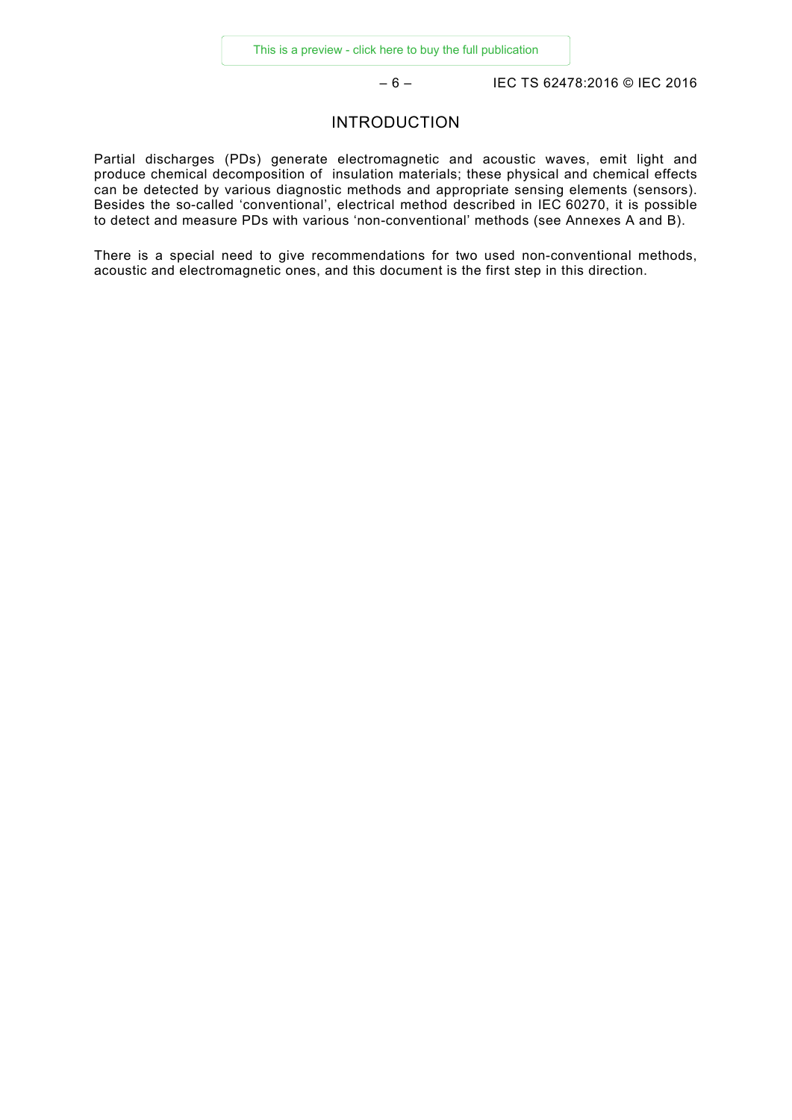– 6 – IEC TS 62478:2016 © IEC 2016

#### INTRODUCTION

<span id="page-5-0"></span>Partial discharges (PDs) generate electromagnetic and acoustic waves, emit light and produce chemical decomposition of insulation materials; these physical and chemical effects can be detected by various diagnostic methods and appropriate sensing elements (sensors). Besides the so-called 'conventional', electrical method described in IEC 60270, it is possible to detect and measure PDs with various 'non-conventional' methods (see Annexes A and B).

There is a special need to give recommendations for two used non-conventional methods, acoustic and electromagnetic ones, and this document is the first step in this direction.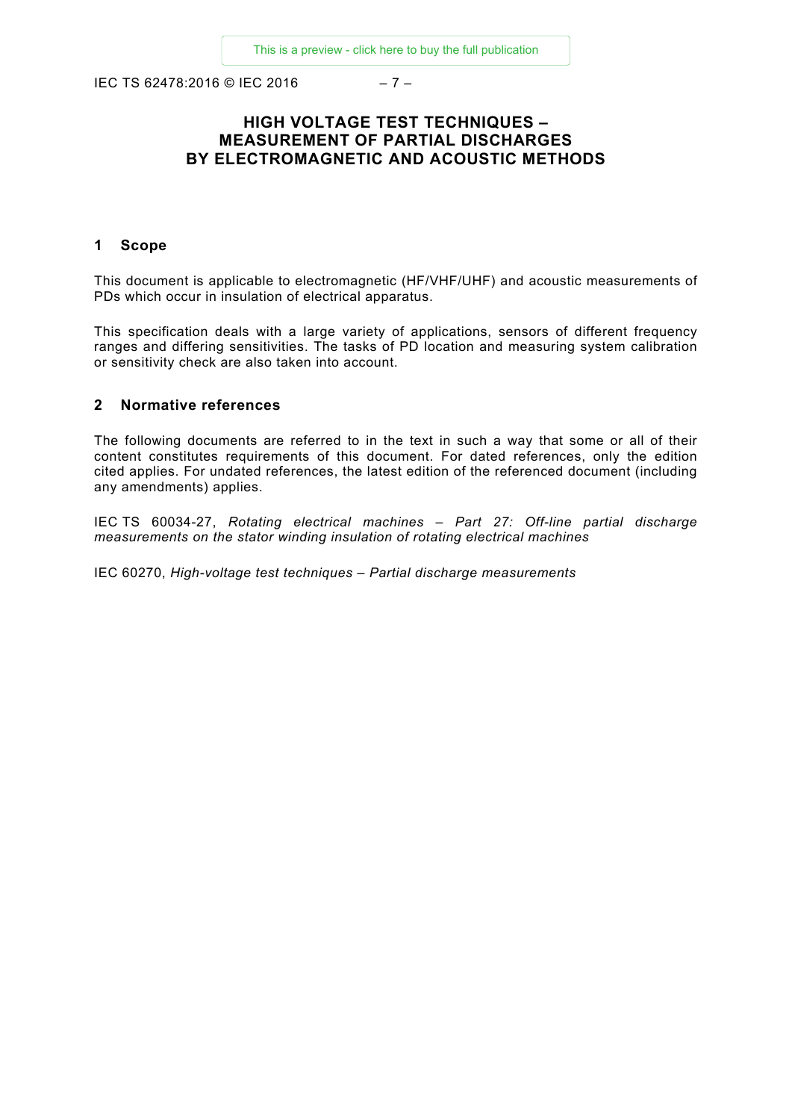IEC TS 62478:2016 © IEC 2016 – 7 –

### **HIGH VOLTAGE TEST TECHNIQUES – MEASUREMENT OF PARTIAL DISCHARGES BY ELECTROMAGNETIC AND ACOUSTIC METHODS**

#### <span id="page-6-0"></span>**1 Scope**

This document is applicable to electromagnetic (HF/VHF/UHF) and acoustic measurements of PDs which occur in insulation of electrical apparatus.

This specification deals with a large variety of applications, sensors of different frequency ranges and differing sensitivities. The tasks of PD location and measuring system calibration or sensitivity check are also taken into account.

#### <span id="page-6-1"></span>**2 Normative references**

The following documents are referred to in the text in such a way that some or all of their content constitutes requirements of this document. For dated references, only the edition cited applies. For undated references, the latest edition of the referenced document (including any amendments) applies.

IEC TS 60034-27, *Rotating electrical machines – Part 27: Off-line partial discharge measurements on the stator winding insulation of rotating electrical machines*

<span id="page-6-2"></span>IEC 60270, *High-voltage test techniques – Partial discharge measurements*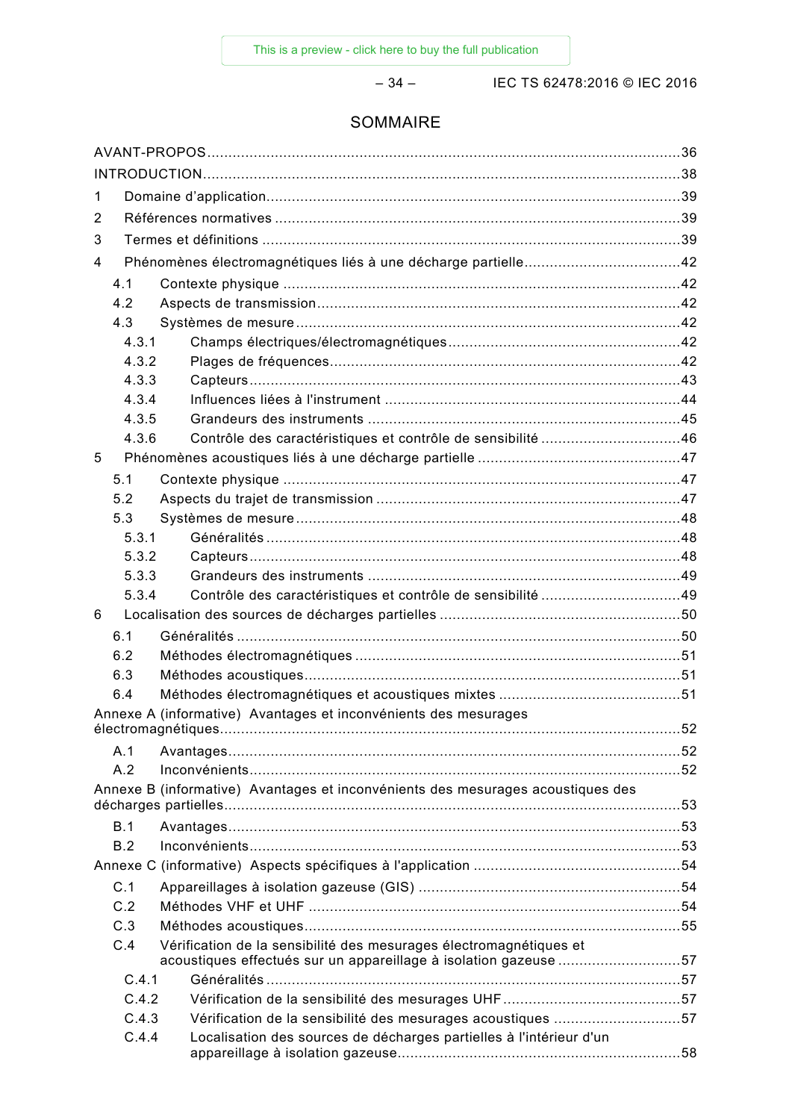– 34 – IEC TS 62478:2016 © IEC 2016

## SOMMAIRE

| 1              |       |                                                                                 |  |
|----------------|-------|---------------------------------------------------------------------------------|--|
| $\overline{2}$ |       |                                                                                 |  |
| 3              |       |                                                                                 |  |
| 4              |       |                                                                                 |  |
|                | 4.1   |                                                                                 |  |
|                | 4.2   |                                                                                 |  |
|                | 4.3   |                                                                                 |  |
|                | 4.3.1 |                                                                                 |  |
|                | 4.3.2 |                                                                                 |  |
|                | 4.3.3 |                                                                                 |  |
|                | 4.3.4 |                                                                                 |  |
|                | 4.3.5 |                                                                                 |  |
|                | 4.3.6 | Contrôle des caractéristiques et contrôle de sensibilité 46                     |  |
| 5              |       |                                                                                 |  |
|                | 5.1   |                                                                                 |  |
|                | 5.2   |                                                                                 |  |
|                | 5.3   |                                                                                 |  |
|                | 5.3.1 |                                                                                 |  |
|                | 5.3.2 |                                                                                 |  |
|                | 5.3.3 |                                                                                 |  |
|                | 5.3.4 | Contrôle des caractéristiques et contrôle de sensibilité 49                     |  |
| 6              |       |                                                                                 |  |
|                | 6.1   |                                                                                 |  |
|                | 6.2   |                                                                                 |  |
|                | 6.3   |                                                                                 |  |
|                | 6.4   |                                                                                 |  |
|                |       | Annexe A (informative) Avantages et inconvénients des mesurages                 |  |
|                |       |                                                                                 |  |
|                | A.1   |                                                                                 |  |
|                | A.2   |                                                                                 |  |
|                |       | Annexe B (informative) Avantages et inconvénients des mesurages acoustiques des |  |
|                |       |                                                                                 |  |
|                | B.1   |                                                                                 |  |
|                | B.2   |                                                                                 |  |
|                |       |                                                                                 |  |
|                | C.1   |                                                                                 |  |
|                | C.2   |                                                                                 |  |
|                | C.3   |                                                                                 |  |
|                | C.4   | Vérification de la sensibilité des mesurages électromagnétiques et              |  |
|                |       | acoustiques effectués sur un appareillage à isolation gazeuse 57                |  |
|                | C.4.1 |                                                                                 |  |
|                | C.4.2 |                                                                                 |  |
|                | C.4.3 | Vérification de la sensibilité des mesurages acoustiques 57                     |  |
|                | C.4.4 | Localisation des sources de décharges partielles à l'intérieur d'un             |  |
|                |       |                                                                                 |  |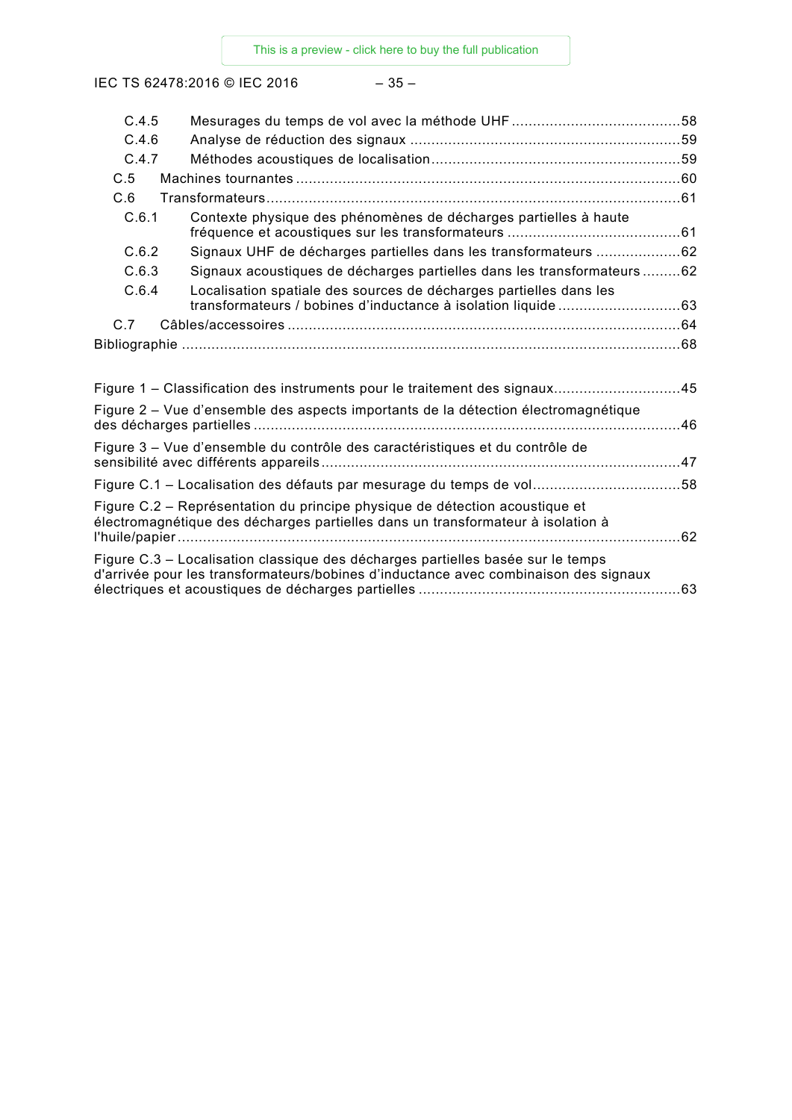IEC TS 62478:2016 © IEC 2016 – 35 –

| C.4.5 |                                                                                                                                                                                                                                                        |     |
|-------|--------------------------------------------------------------------------------------------------------------------------------------------------------------------------------------------------------------------------------------------------------|-----|
| C.4.6 |                                                                                                                                                                                                                                                        |     |
| C.4.7 |                                                                                                                                                                                                                                                        |     |
| C.5   |                                                                                                                                                                                                                                                        |     |
| C.6   |                                                                                                                                                                                                                                                        |     |
| C.6.1 | Contexte physique des phénomènes de décharges partielles à haute                                                                                                                                                                                       |     |
| C.6.2 | Signaux UHF de décharges partielles dans les transformateurs 62                                                                                                                                                                                        |     |
| C.6.3 | Signaux acoustiques de décharges partielles dans les transformateurs62                                                                                                                                                                                 |     |
| C.6.4 | Localisation spatiale des sources de décharges partielles dans les                                                                                                                                                                                     |     |
| C.7   |                                                                                                                                                                                                                                                        |     |
|       |                                                                                                                                                                                                                                                        |     |
|       |                                                                                                                                                                                                                                                        |     |
|       | Figure 1 – Classification des instruments pour le traitement des signaux45                                                                                                                                                                             |     |
|       | Figure 2 – Vue d'ensemble des aspects importants de la détection électromagnétique<br>des décharges partielles ………………………………………………………………………………………46                                                                                                     |     |
|       | Figure 3 – Vue d'ensemble du contrôle des caractéristiques et du contrôle de                                                                                                                                                                           |     |
|       | Figure C.1 - Localisation des défauts par mesurage du temps de vol58                                                                                                                                                                                   |     |
|       | Figure C.2 - Représentation du principe physique de détection acoustique et<br>électromagnétique des décharges partielles dans un transformateur à isolation à                                                                                         | .62 |
|       | Figure C.3 – Localisation classique des décharges partielles basée sur le temps<br>d'arrivée pour les transformateurs/bobines d'inductance avec combinaison des signaux<br>électriques et acoustiques de décharges partielles …………………………………………………………63 |     |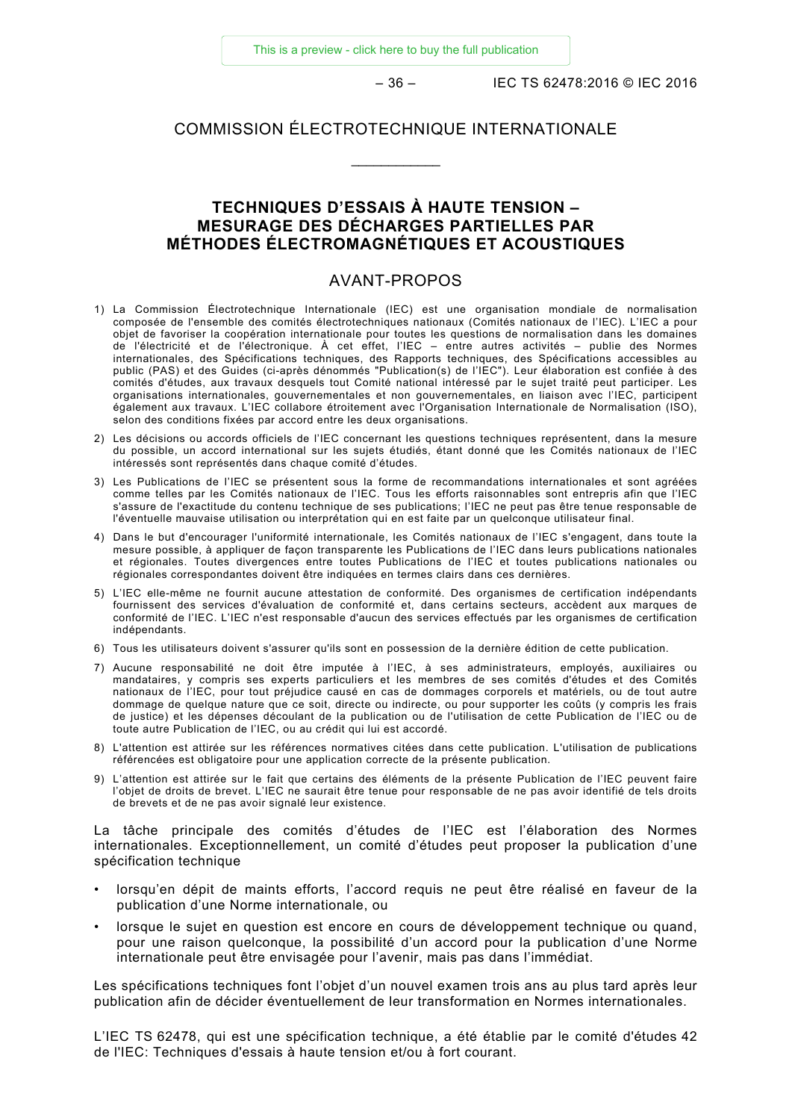[This is a preview - click here to buy the full publication](https://webstore.iec.ch/publication/25740&preview=1)

– 36 – IEC TS 62478:2016 © IEC 2016

#### COMMISSION ÉLECTROTECHNIQUE INTERNATIONALE

\_\_\_\_\_\_\_\_\_\_\_\_

#### **TECHNIQUES D'ESSAIS À HAUTE TENSION – MESURAGE DES DÉCHARGES PARTIELLES PAR MÉTHODES ÉLECTROMAGNÉTIQUES ET ACOUSTIQUES**

#### AVANT-PROPOS

- <span id="page-9-0"></span>1) La Commission Électrotechnique Internationale (IEC) est une organisation mondiale de normalisation composée de l'ensemble des comités électrotechniques nationaux (Comités nationaux de l'IEC). L'IEC a pour objet de favoriser la coopération internationale pour toutes les questions de normalisation dans les domaines de l'électricité et de l'électronique. À cet effet, l'IEC – entre autres activités – publie des Normes internationales, des Spécifications techniques, des Rapports techniques, des Spécifications accessibles au public (PAS) et des Guides (ci-après dénommés "Publication(s) de l'IEC"). Leur élaboration est confiée à des comités d'études, aux travaux desquels tout Comité national intéressé par le sujet traité peut participer. Les organisations internationales, gouvernementales et non gouvernementales, en liaison avec l'IEC, participent également aux travaux. L'IEC collabore étroitement avec l'Organisation Internationale de Normalisation (ISO), selon des conditions fixées par accord entre les deux organisations.
- 2) Les décisions ou accords officiels de l'IEC concernant les questions techniques représentent, dans la mesure du possible, un accord international sur les sujets étudiés, étant donné que les Comités nationaux de l'IEC intéressés sont représentés dans chaque comité d'études.
- 3) Les Publications de l'IEC se présentent sous la forme de recommandations internationales et sont agréées comme telles par les Comités nationaux de l'IEC. Tous les efforts raisonnables sont entrepris afin que l'IEC s'assure de l'exactitude du contenu technique de ses publications; l'IEC ne peut pas être tenue responsable de l'éventuelle mauvaise utilisation ou interprétation qui en est faite par un quelconque utilisateur final.
- 4) Dans le but d'encourager l'uniformité internationale, les Comités nationaux de l'IEC s'engagent, dans toute la mesure possible, à appliquer de façon transparente les Publications de l'IEC dans leurs publications nationales et régionales. Toutes divergences entre toutes Publications de l'IEC et toutes publications nationales ou régionales correspondantes doivent être indiquées en termes clairs dans ces dernières.
- 5) L'IEC elle-même ne fournit aucune attestation de conformité. Des organismes de certification indépendants fournissent des services d'évaluation de conformité et, dans certains secteurs, accèdent aux marques de conformité de l'IEC. L'IEC n'est responsable d'aucun des services effectués par les organismes de certification indépendants.
- 6) Tous les utilisateurs doivent s'assurer qu'ils sont en possession de la dernière édition de cette publication.
- 7) Aucune responsabilité ne doit être imputée à l'IEC, à ses administrateurs, employés, auxiliaires ou mandataires, y compris ses experts particuliers et les membres de ses comités d'études et des Comités nationaux de l'IEC, pour tout préjudice causé en cas de dommages corporels et matériels, ou de tout autre dommage de quelque nature que ce soit, directe ou indirecte, ou pour supporter les coûts (y compris les frais de justice) et les dépenses découlant de la publication ou de l'utilisation de cette Publication de l'IEC ou de toute autre Publication de l'IEC, ou au crédit qui lui est accordé.
- 8) L'attention est attirée sur les références normatives citées dans cette publication. L'utilisation de publications référencées est obligatoire pour une application correcte de la présente publication.
- 9) L'attention est attirée sur le fait que certains des éléments de la présente Publication de l'IEC peuvent faire l'objet de droits de brevet. L'IEC ne saurait être tenue pour responsable de ne pas avoir identifié de tels droits de brevets et de ne pas avoir signalé leur existence.

La tâche principale des comités d'études de l'IEC est l'élaboration des Normes internationales. Exceptionnellement, un comité d'études peut proposer la publication d'une spécification technique

- lorsqu'en dépit de maints efforts, l'accord requis ne peut être réalisé en faveur de la publication d'une Norme internationale, ou
- lorsque le sujet en question est encore en cours de développement technique ou quand, pour une raison quelconque, la possibilité d'un accord pour la publication d'une Norme internationale peut être envisagée pour l'avenir, mais pas dans l'immédiat.

Les spécifications techniques font l'objet d'un nouvel examen trois ans au plus tard après leur publication afin de décider éventuellement de leur transformation en Normes internationales.

L'IEC TS 62478, qui est une spécification technique, a été établie par le comité d'études 42 de l'IEC: Techniques d'essais à haute tension et/ou à fort courant.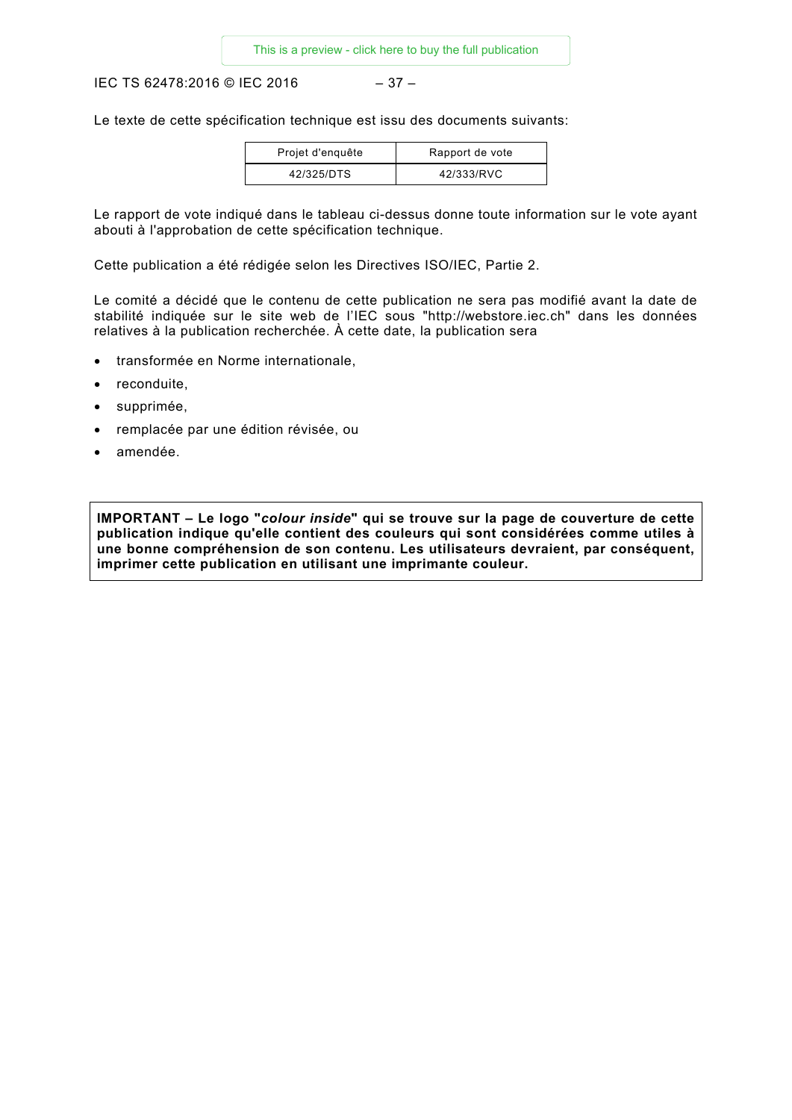IEC TS 62478:2016 © IEC 2016 – 37 –

Le texte de cette spécification technique est issu des documents suivants:

| Projet d'enquête | Rapport de vote |
|------------------|-----------------|
| 42/325/DTS       | 42/333/RVC      |

Le rapport de vote indiqué dans le tableau ci-dessus donne toute information sur le vote ayant abouti à l'approbation de cette spécification technique.

Cette publication a été rédigée selon les Directives ISO/IEC, Partie 2.

Le comité a décidé que le contenu de cette publication ne sera pas modifié avant la date de stabilité indiquée sur le site web de l'IEC sous "http://webstore.iec.ch" dans les données relatives à la publication recherchée. À cette date, la publication sera

- transformée en Norme internationale,
- reconduite,
- supprimée,
- remplacée par une édition révisée, ou
- amendée.

**IMPORTANT – Le logo "***colour inside***" qui se trouve sur la page de couverture de cette publication indique qu'elle contient des couleurs qui sont considérées comme utiles à une bonne compréhension de son contenu. Les utilisateurs devraient, par conséquent, imprimer cette publication en utilisant une imprimante couleur.**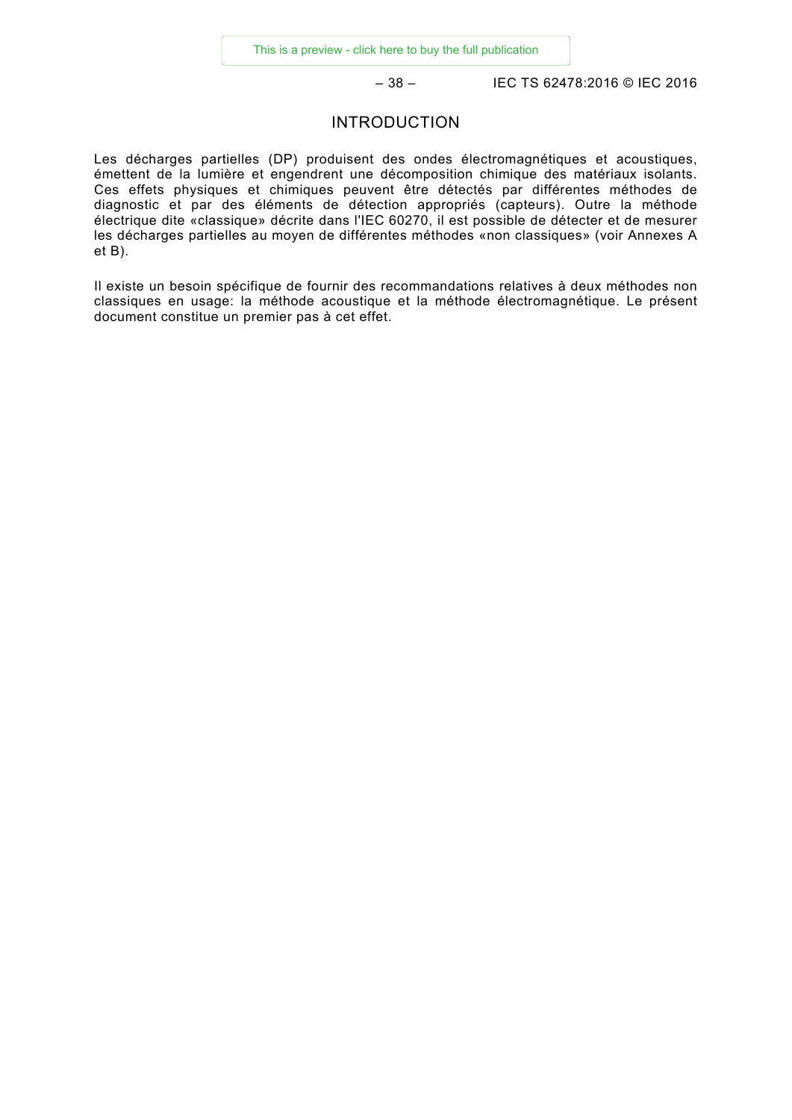– 38 – IEC TS 62478:2016 © IEC 2016

#### INTRODUCTION

<span id="page-11-0"></span>Les décharges partielles (DP) produisent des ondes électromagnétiques et acoustiques, émettent de la lumière et engendrent une décomposition chimique des matériaux isolants. Ces effets physiques et chimiques peuvent être détectés par différentes méthodes de diagnostic et par des éléments de détection appropriés (capteurs). Outre la méthode électrique dite «classique» décrite dans l'IEC 60270, il est possible de détecter et de mesurer les décharges partielles au moyen de différentes méthodes «non classiques» (voir Annexes A et B).

Il existe un besoin spécifique de fournir des recommandations relatives à deux méthodes non classiques en usage: la méthode acoustique et la méthode électromagnétique. Le présent document constitue un premier pas à cet effet.